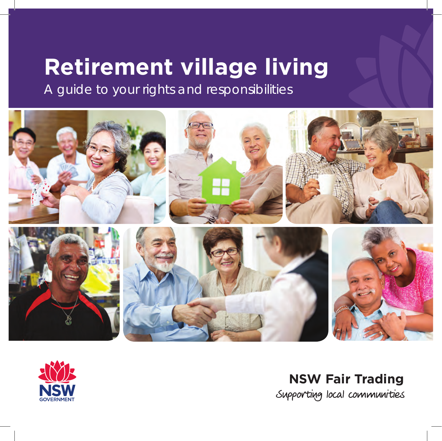# **Retirement village living**

A guide to your rights and responsibilities





**NSW Fair Trading**Supporting local communities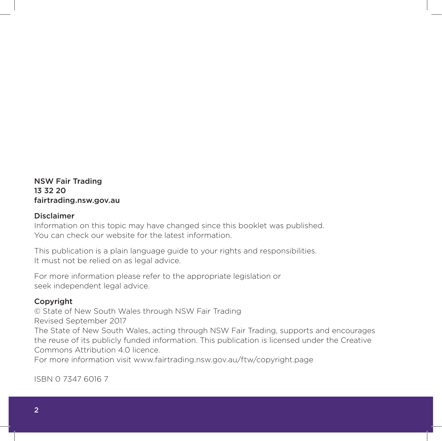NSW Fair Trading 13 32 20 fairtrading.nsw.gov.au

#### Disclaimer

Information on this topic may have changed since this booklet was published. You can check our website for the latest information.

This publication is a plain language guide to your rights and responsibilities. It must not be relied on as legal advice.

For more information please refer to the appropriate legislation or seek independent legal advice.

#### Copyright

© State of New South Wales through NSW Fair Trading Revised September 2017

The State of New South Wales, acting through NSW Fair Trading, supports and encourages the reuse of its publicly funded information. This publication is licensed under the Creative Commons Attribution 4.0 licence.

For more information visit www.fairtrading.nsw.gov.au/ftw/copyright.page

ISBN 0 7347 6016 7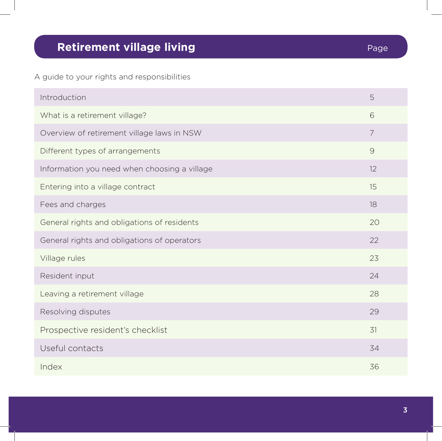# **Retirement village living Page 10 and 20 and 20 and 20 and 20 and 20 and 20 and 20 and 20 and 20 and 20 and 20 and 20 and 20 and 20 and 20 and 20 and 20 and 20 and 20 and 20 and 20 and 20 and 20 and 20 and 20 and 20 and**

A guide to your rights and responsibilities

| Introduction                                 | 5              |
|----------------------------------------------|----------------|
| What is a retirement village?                | 6              |
| Overview of retirement village laws in NSW   | $\overline{7}$ |
| Different types of arrangements              | $\mathcal{G}$  |
| Information you need when choosing a village | 12             |
| Entering into a village contract             | 15             |
| Fees and charges                             | 18             |
| General rights and obligations of residents  | 20             |
| General rights and obligations of operators  | 22             |
| Village rules                                | 23             |
| Resident input                               | 24             |
| Leaving a retirement village                 | 28             |
| Resolving disputes                           | 29             |
| Prospective resident's checklist             | 31             |
| Useful contacts                              | 34             |
| Index                                        | 36             |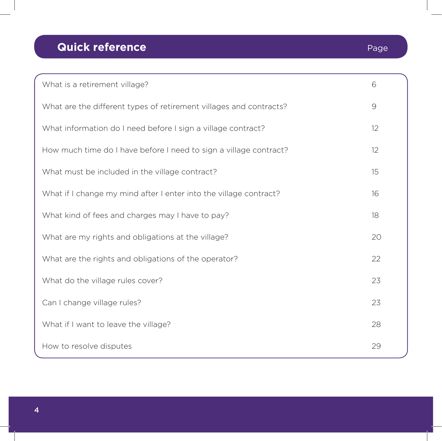# **Quick reference** Page

| What is a retirement village?                                      | 6             |
|--------------------------------------------------------------------|---------------|
| What are the different types of retirement villages and contracts? | $\mathcal{G}$ |
| What information do I need before I sign a village contract?       | 12            |
| How much time do I have before I need to sign a village contract?  | 12            |
| What must be included in the village contract?                     | 15            |
| What if I change my mind after I enter into the village contract?  | 16            |
| What kind of fees and charges may I have to pay?                   | 18            |
| What are my rights and obligations at the village?                 | 20            |
| What are the rights and obligations of the operator?               | 22            |
| What do the village rules cover?                                   | 23            |
| Can I change village rules?                                        | 23            |
| What if I want to leave the village?                               | 28            |
| How to resolve disputes                                            | 29            |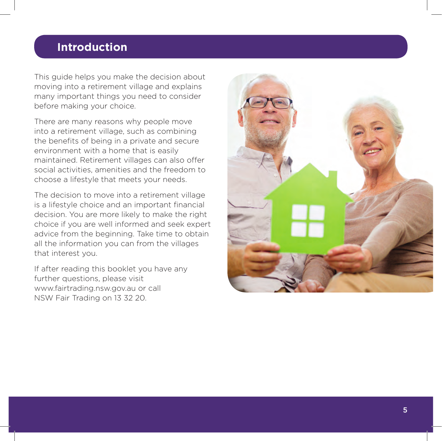# **Introduction**

This guide helps you make the decision about moving into a retirement village and explains many important things you need to consider before making your choice.

There are many reasons why people move into a retirement village, such as combining the benefits of being in a private and secure environment with a home that is easily maintained. Retirement villages can also offer social activities, amenities and the freedom to choose a lifestyle that meets your needs.

The decision to move into a retirement village is a lifestyle choice and an important financial decision. You are more likely to make the right choice if you are well informed and seek expert advice from the beginning. Take time to obtain all the information you can from the villages that interest you.

If after reading this booklet you have any further questions, please visit www.fairtrading.nsw.gov.au or call NSW Fair Trading on 13 32 20.

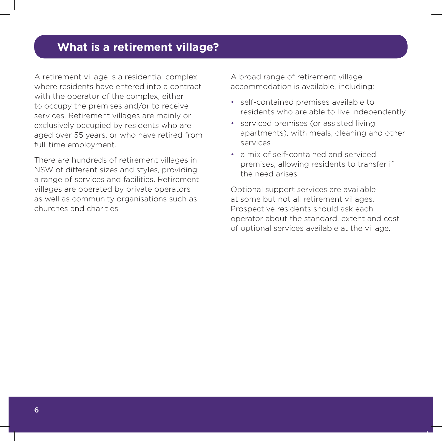# **What is a retirement village?**

A retirement village is a residential complex where residents have entered into a contract with the operator of the complex, either to occupy the premises and/or to receive services. Retirement villages are mainly or exclusively occupied by residents who are aged over 55 years, or who have retired from full-time employment.

There are hundreds of retirement villages in NSW of different sizes and styles, providing a range of services and facilities. Retirement villages are operated by private operators as well as community organisations such as churches and charities.

A broad range of retirement village accommodation is available, including:

- self-contained premises available to residents who are able to live independently
- serviced premises (or assisted living apartments), with meals, cleaning and other services
- a mix of self-contained and serviced premises, allowing residents to transfer if the need arises.

Optional support services are available at some but not all retirement villages. Prospective residents should ask each operator about the standard, extent and cost of optional services available at the village.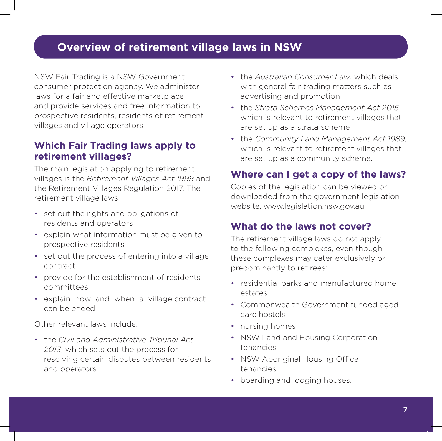# **Overview of retirement village laws in NSW**

NSW Fair Trading is a NSW Government consumer protection agency. We administer laws for a fair and effective marketplace and provide services and free information to prospective residents, residents of retirement villages and village operators.

#### **Which Fair Trading laws apply to retirement villages?**

The main legislation applying to retirement villages is the *Retirement Villages Act 1999* and the Retirement Villages Regulation 2017. The retirement village laws:

- set out the rights and obligations of residents and operators
- explain what information must be given to prospective residents
- set out the process of entering into a village contract
- provide for the establishment of residents committees
- explain how and when a village contract can be ended.

Other relevant laws include:

• the *Civil and Administrative Tribunal Act 2013*, which sets out the process for resolving certain disputes between residents and operators

- the *Australian Consumer Law*, which deals with general fair trading matters such as advertising and promotion
- the *Strata Schemes Management Act 2015* which is relevant to retirement villages that are set up as a strata scheme
- the *Community Land Management Act 1989*, which is relevant to retirement villages that are set up as a community scheme.

#### **Where can I get a copy of the laws?**

Copies of the legislation can be viewed or downloaded from the government legislation website, www.legislation.nsw.gov.au.

#### **What do the laws not cover?**

The retirement village laws do not apply to the following complexes, even though these complexes may cater exclusively or predominantly to retirees:

- residential parks and manufactured home estates
- Commonwealth Government funded aged care hostels
- nursing homes
- NSW Land and Housing Corporation tenancies
- NSW Aboriginal Housing Office tenancies
- boarding and lodging houses.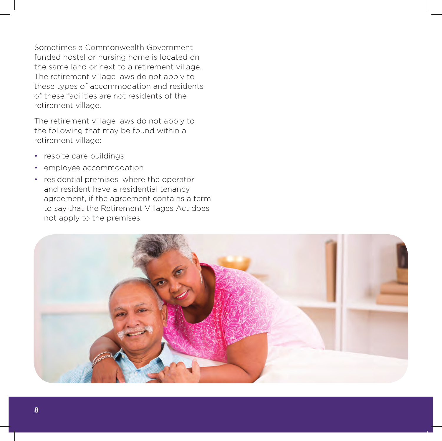Sometimes a Commonwealth Government funded hostel or nursing home is located on the same land or next to a retirement village. The retirement village laws do not apply to these types of accommodation and residents of these facilities are not residents of the retirement village.

The retirement village laws do not apply to the following that may be found within a retirement village:

- respite care buildings
- employee accommodation
- residential premises, where the operator and resident have a residential tenancy agreement, if the agreement contains a term to say that the Retirement Villages Act does not apply to the premises.

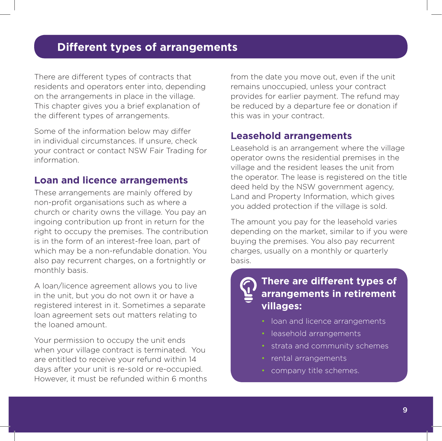# **Different types of arrangements**

There are different types of contracts that residents and operators enter into, depending on the arrangements in place in the village. This chapter gives you a brief explanation of the different types of arrangements.

Some of the information below may differ in individual circumstances. If unsure, check your contract or contact NSW Fair Trading for information.

#### **Loan and licence arrangements**

These arrangements are mainly offered by non-profit organisations such as where a church or charity owns the village. You pay an ingoing contribution up front in return for the right to occupy the premises. The contribution is in the form of an interest-free loan, part of which may be a non-refundable donation. You also pay recurrent charges, on a fortnightly or monthly basis.

A loan/licence agreement allows you to live in the unit, but you do not own it or have a registered interest in it. Sometimes a separate loan agreement sets out matters relating to the loaned amount.

Your permission to occupy the unit ends when your village contract is terminated. You are entitled to receive your refund within 14 days after your unit is re-sold or re-occupied. However, it must be refunded within 6 months from the date you move out, even if the unit remains unoccupied, unless your contract provides for earlier payment. The refund may be reduced by a departure fee or donation if this was in your contract.

#### **Leasehold arrangements**

Leasehold is an arrangement where the village operator owns the residential premises in the village and the resident leases the unit from the operator. The lease is registered on the title deed held by the NSW government agency, Land and Property Information, which gives you added protection if the village is sold.

The amount you pay for the leasehold varies depending on the market, similar to if you were buying the premises. You also pay recurrent charges, usually on a monthly or quarterly basis.

# **There are different types of arrangements in retirement villages:**

- loan and licence arrangements
- leasehold arrangements
- strata and community schemes
- rental arrangements
- company title schemes.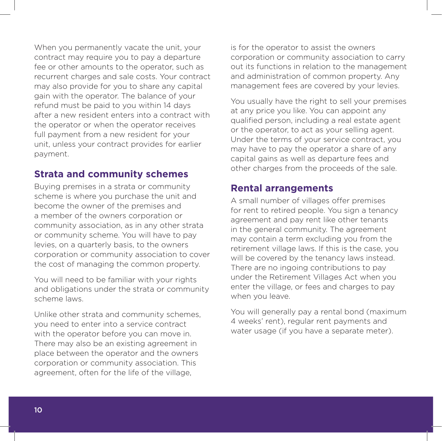When you permanently vacate the unit, your contract may require you to pay a departure fee or other amounts to the operator, such as recurrent charges and sale costs. Your contract may also provide for you to share any capital gain with the operator. The balance of your refund must be paid to you within 14 days after a new resident enters into a contract with the operator or when the operator receives full payment from a new resident for your unit, unless your contract provides for earlier payment.

#### **Strata and community schemes**

Buying premises in a strata or community scheme is where you purchase the unit and become the owner of the premises and a member of the owners corporation or community association, as in any other strata or community scheme. You will have to pay levies, on a quarterly basis, to the owners corporation or community association to cover the cost of managing the common property.

You will need to be familiar with your rights and obligations under the strata or community scheme laws.

Unlike other strata and community schemes, you need to enter into a service contract with the operator before you can move in. There may also be an existing agreement in place between the operator and the owners corporation or community association. This agreement, often for the life of the village,

is for the operator to assist the owners corporation or community association to carry out its functions in relation to the management and administration of common property. Any management fees are covered by your levies.

You usually have the right to sell your premises at any price you like. You can appoint any qualified person, including a real estate agent or the operator, to act as your selling agent. Under the terms of your service contract, you may have to pay the operator a share of any capital gains as well as departure fees and other charges from the proceeds of the sale.

#### **Rental arrangements**

A small number of villages offer premises for rent to retired people. You sign a tenancy agreement and pay rent like other tenants in the general community. The agreement may contain a term excluding you from the retirement village laws. If this is the case, you will be covered by the tenancy laws instead. There are no ingoing contributions to pay under the Retirement Villages Act when you enter the village, or fees and charges to pay when you leave.

You will generally pay a rental bond (maximum 4 weeks' rent), regular rent payments and water usage (if you have a separate meter).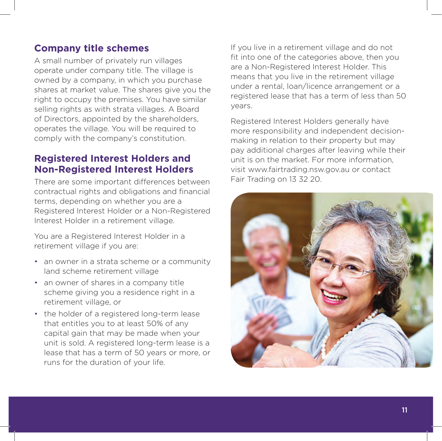### **Company title schemes**

A small number of privately run villages operate under company title. The village is owned by a company, in which you purchase shares at market value. The shares give you the right to occupy the premises. You have similar selling rights as with strata villages. A Board of Directors, appointed by the shareholders, operates the village. You will be required to comply with the company's constitution.

#### **Registered Interest Holders and Non-Registered Interest Holders**

There are some important differences between contractual rights and obligations and financial terms, depending on whether you are a Registered Interest Holder or a Non-Registered Interest Holder in a retirement village.

You are a Registered Interest Holder in a retirement village if you are:

- an owner in a strata scheme or a community land scheme retirement village
- an owner of shares in a company title scheme giving you a residence right in a retirement village, or
- the holder of a registered long-term lease that entitles you to at least 50% of any capital gain that may be made when your unit is sold. A registered long-term lease is a lease that has a term of 50 years or more, or runs for the duration of your life.

If you live in a retirement village and do not fit into one of the categories above, then you are a Non-Registered Interest Holder. This means that you live in the retirement village under a rental, loan/licence arrangement or a registered lease that has a term of less than 50 years.

Registered Interest Holders generally have more responsibility and independent decisionmaking in relation to their property but may pay additional charges after leaving while their unit is on the market. For more information, visit www.fairtrading.nsw.gov.au or contact Fair Trading on 13 32 20.

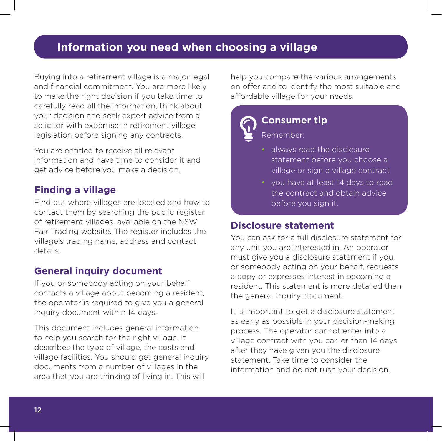# **Information you need when choosing a village**

Buying into a retirement village is a major legal and financial commitment. You are more likely to make the right decision if you take time to carefully read all the information, think about your decision and seek expert advice from a solicitor with expertise in retirement village legislation before signing any contracts.

You are entitled to receive all relevant information and have time to consider it and get advice before you make a decision.

#### **Finding a village**

Find out where villages are located and how to contact them by searching the public register of retirement villages, available on the NSW Fair Trading website. The register includes the village's trading name, address and contact details.

#### **General inquiry document**

If you or somebody acting on your behalf contacts a village about becoming a resident, the operator is required to give you a general inquiry document within 14 days.

This document includes general information to help you search for the right village. It describes the type of village, the costs and village facilities. You should get general inquiry documents from a number of villages in the area that you are thinking of living in. This will

help you compare the various arrangements on offer and to identify the most suitable and affordable village for your needs.



#### **Consumer tip**

Remember:

- always read the disclosure statement before you choose a village or sign a village contract
- you have at least 14 days to read the contract and obtain advice before you sign it.

#### **Disclosure statement**

You can ask for a full disclosure statement for any unit you are interested in. An operator must give you a disclosure statement if you, or somebody acting on your behalf, requests a copy or expresses interest in becoming a resident. This statement is more detailed than the general inquiry document.

It is important to get a disclosure statement as early as possible in your decision-making process. The operator cannot enter into a village contract with you earlier than 14 days after they have given you the disclosure statement. Take time to consider the information and do not rush your decision.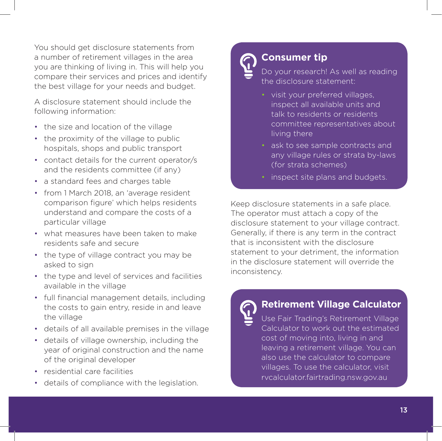You should get disclosure statements from a number of retirement villages in the area you are thinking of living in. This will help you compare their services and prices and identify the best village for your needs and budget.

A disclosure statement should include the following information:

- the size and location of the village
- the proximity of the village to public hospitals, shops and public transport
- contact details for the current operator/s and the residents committee (if any)
- a standard fees and charges table
- from 1 March 2018, an 'average resident comparison figure' which helps residents understand and compare the costs of a particular village
- what measures have been taken to make residents safe and secure
- the type of village contract you may be asked to sign
- the type and level of services and facilities available in the village
- full financial management details, including the costs to gain entry, reside in and leave the village
- details of all available premises in the village
- details of village ownership, including the year of original construction and the name of the original developer
- residential care facilities
- details of compliance with the legislation.

# **Consumer tip**

Do your research! As well as reading the disclosure statement:

- visit your preferred villages, inspect all available units and talk to residents or residents committee representatives about living there
- ask to see sample contracts and any village rules or strata by-laws (for strata schemes)
- inspect site plans and budgets.

Keep disclosure statements in a safe place. The operator must attach a copy of the disclosure statement to your village contract. Generally, if there is any term in the contract that is inconsistent with the disclosure statement to your detriment, the information in the disclosure statement will override the inconsistency.

#### **Retirement Village Calculator**

Use Fair Trading's Retirement Village Calculator to work out the estimated cost of moving into, living in and leaving a retirement village. You can also use the calculator to compare villages. To use the calculator, visit rvcalculator.fairtrading.nsw.gov.au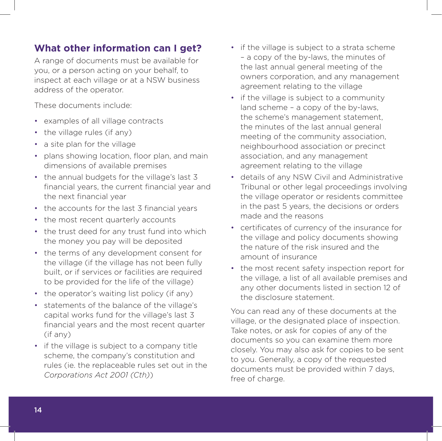#### **What other information can I get?**

A range of documents must be available for you, or a person acting on your behalf, to inspect at each village or at a NSW business address of the operator.

These documents include:

- examples of all village contracts
- the village rules (if any)
- a site plan for the village
- plans showing location, floor plan, and main dimensions of available premises
- the annual budgets for the village's last 3 financial years, the current financial year and the next financial year
- the accounts for the last 3 financial years
- the most recent quarterly accounts
- the trust deed for any trust fund into which the money you pay will be deposited
- the terms of any development consent for the village (if the village has not been fully built, or if services or facilities are required to be provided for the life of the village)
- the operator's waiting list policy (if any)
- statements of the balance of the village's capital works fund for the village's last 3 financial years and the most recent quarter (if any)
- if the village is subject to a company title scheme, the company's constitution and rules (ie. the replaceable rules set out in the *Corporations Act 2001 (Cth)*)
- if the village is subject to a strata scheme – a copy of the by-laws, the minutes of the last annual general meeting of the owners corporation, and any management agreement relating to the village
- if the village is subject to a community land scheme – a copy of the by-laws, the scheme's management statement, the minutes of the last annual general meeting of the community association, neighbourhood association or precinct association, and any management agreement relating to the village
- details of any NSW Civil and Administrative Tribunal or other legal proceedings involving the village operator or residents committee in the past 5 years, the decisions or orders made and the reasons
- certificates of currency of the insurance for the village and policy documents showing the nature of the risk insured and the amount of insurance
- the most recent safety inspection report for the village, a list of all available premises and any other documents listed in section 12 of the disclosure statement.

You can read any of these documents at the village, or the designated place of inspection. Take notes, or ask for copies of any of the documents so you can examine them more closely. You may also ask for copies to be sent to you. Generally, a copy of the requested documents must be provided within 7 days, free of charge.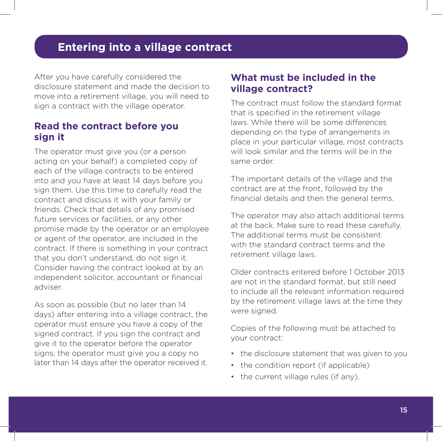After you have carefully considered the disclosure statement and made the decision to move into a retirement village, you will need to sign a contract with the village operator.

#### **Read the contract before you sign it**

The operator must give you (or a person acting on your behalf) a completed copy of each of the village contracts to be entered into and you have at least 14 days before you sign them. Use this time to carefully read the contract and discuss it with your family or friends. Check that details of any promised future services or facilities, or any other promise made by the operator or an employee or agent of the operator, are included in the contract. If there is something in your contract that you don't understand, do not sign it. Consider having the contract looked at by an independent solicitor, accountant or financial adviser.

As soon as possible (but no later than 14 days) after entering into a village contract, the operator must ensure you have a copy of the signed contract. If you sign the contract and give it to the operator before the operator signs, the operator must give you a copy no later than 14 days after the operator received it.

#### **What must be included in the village contract?**

The contract must follow the standard format that is specified in the retirement village laws. While there will be some differences depending on the type of arrangements in place in your particular village, most contracts will look similar and the terms will be in the same order.

The important details of the village and the contract are at the front, followed by the financial details and then the general terms.

The operator may also attach additional terms at the back. Make sure to read these carefully. The additional terms must be consistent with the standard contract terms and the retirement village laws.

Older contracts entered before 1 October 2013 are not in the standard format, but still need to include all the relevant information required by the retirement village laws at the time they were signed.

Copies of the following must be attached to your contract:

- the disclosure statement that was given to you
- the condition report (if applicable)
- the current village rules (if any).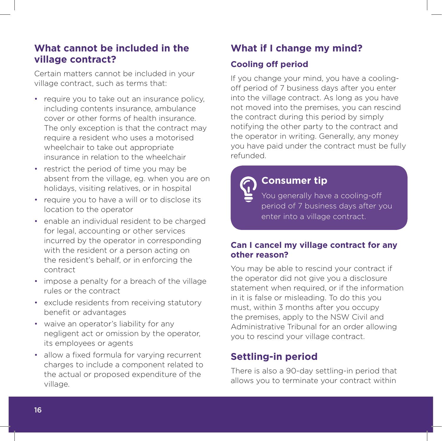#### **What cannot be included in the village contract?**

Certain matters cannot be included in your village contract, such as terms that:

- require you to take out an insurance policy, including contents insurance, ambulance cover or other forms of health insurance. The only exception is that the contract may require a resident who uses a motorised wheelchair to take out appropriate insurance in relation to the wheelchair
- restrict the period of time you may be absent from the village, eg. when you are on holidays, visiting relatives, or in hospital
- require you to have a will or to disclose its location to the operator
- enable an individual resident to be charged for legal, accounting or other services incurred by the operator in corresponding with the resident or a person acting on the resident's behalf, or in enforcing the contract
- impose a penalty for a breach of the village rules or the contract
- exclude residents from receiving statutory benefit or advantages
- waive an operator's liability for any negligent act or omission by the operator, its employees or agents
- allow a fixed formula for varying recurrent charges to include a component related to the actual or proposed expenditure of the village.

# **What if I change my mind?**

#### **Cooling off period**

If you change your mind, you have a coolingoff period of 7 business days after you enter into the village contract. As long as you have not moved into the premises, you can rescind the contract during this period by simply notifying the other party to the contract and the operator in writing. Generally, any money you have paid under the contract must be fully refunded.

# **Consumer tip**

You generally have a cooling-off period of 7 business days after you enter into a village contract.

#### **Can I cancel my village contract for any other reason?**

You may be able to rescind your contract if the operator did not give you a disclosure statement when required, or if the information in it is false or misleading. To do this you must, within 3 months after you occupy the premises, apply to the NSW Civil and Administrative Tribunal for an order allowing you to rescind your village contract.

#### **Settling-in period**

There is also a 90-day settling-in period that allows you to terminate your contract within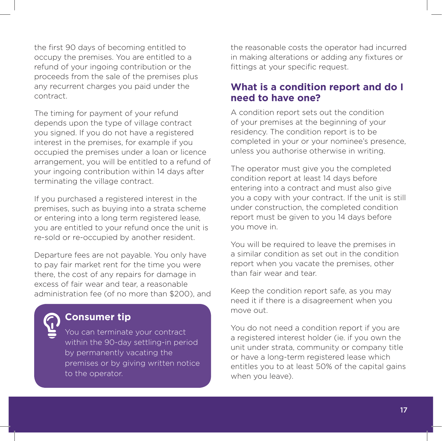the first 90 days of becoming entitled to occupy the premises. You are entitled to a refund of your ingoing contribution or the proceeds from the sale of the premises plus any recurrent charges you paid under the contract.

The timing for payment of your refund depends upon the type of village contract you signed. If you do not have a registered interest in the premises, for example if you occupied the premises under a loan or licence arrangement, you will be entitled to a refund of your ingoing contribution within 14 days after terminating the village contract.

If you purchased a registered interest in the premises, such as buying into a strata scheme or entering into a long term registered lease, you are entitled to your refund once the unit is re-sold or re-occupied by another resident.

Departure fees are not payable. You only have to pay fair market rent for the time you were there, the cost of any repairs for damage in excess of fair wear and tear, a reasonable administration fee (of no more than \$200), and



#### **Consumer tip**

You can terminate your contract within the 90-day settling-in period by permanently vacating the premises or by giving written notice to the operator.

the reasonable costs the operator had incurred in making alterations or adding any fixtures or fittings at your specific request.

#### **What is a condition report and do I need to have one?**

A condition report sets out the condition of your premises at the beginning of your residency. The condition report is to be completed in your or your nominee's presence, unless you authorise otherwise in writing.

The operator must give you the completed condition report at least 14 days before entering into a contract and must also give you a copy with your contract. If the unit is still under construction, the completed condition report must be given to you 14 days before you move in.

You will be required to leave the premises in a similar condition as set out in the condition report when you vacate the premises, other than fair wear and tear.

Keep the condition report safe, as you may need it if there is a disagreement when you move out.

You do not need a condition report if you are a registered interest holder (ie. if you own the unit under strata, community or company title or have a long-term registered lease which entitles you to at least 50% of the capital gains when you leave).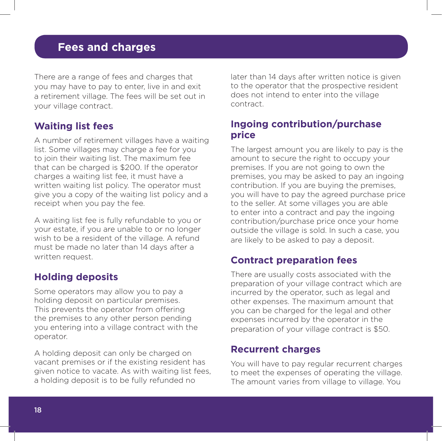There are a range of fees and charges that you may have to pay to enter, live in and exit a retirement village. The fees will be set out in your village contract.

#### **Waiting list fees**

A number of retirement villages have a waiting list. Some villages may charge a fee for you to join their waiting list. The maximum fee that can be charged is \$200. If the operator charges a waiting list fee, it must have a written waiting list policy. The operator must give you a copy of the waiting list policy and a receipt when you pay the fee.

A waiting list fee is fully refundable to you or your estate, if you are unable to or no longer wish to be a resident of the village. A refund must be made no later than 14 days after a written request.

#### **Holding deposits**

Some operators may allow you to pay a holding deposit on particular premises. This prevents the operator from offering the premises to any other person pending you entering into a village contract with the operator.

A holding deposit can only be charged on vacant premises or if the existing resident has given notice to vacate. As with waiting list fees, a holding deposit is to be fully refunded no

later than 14 days after written notice is given to the operator that the prospective resident does not intend to enter into the village contract.

#### **Ingoing contribution/purchase price**

The largest amount you are likely to pay is the amount to secure the right to occupy your premises. If you are not going to own the premises, you may be asked to pay an ingoing contribution. If you are buying the premises, you will have to pay the agreed purchase price to the seller. At some villages you are able to enter into a contract and pay the ingoing contribution/purchase price once your home outside the village is sold. In such a case, you are likely to be asked to pay a deposit.

#### **Contract preparation fees**

There are usually costs associated with the preparation of your village contract which are incurred by the operator, such as legal and other expenses. The maximum amount that you can be charged for the legal and other expenses incurred by the operator in the preparation of your village contract is \$50.

#### **Recurrent charges**

You will have to pay regular recurrent charges to meet the expenses of operating the village. The amount varies from village to village. You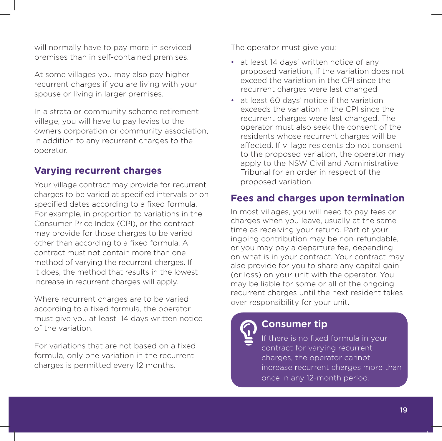will normally have to pay more in serviced premises than in self-contained premises.

At some villages you may also pay higher recurrent charges if you are living with your spouse or living in larger premises.

In a strata or community scheme retirement village, you will have to pay levies to the owners corporation or community association, in addition to any recurrent charges to the operator.

#### **Varying recurrent charges**

Your village contract may provide for recurrent charges to be varied at specified intervals or on specified dates according to a fixed formula. For example, in proportion to variations in the Consumer Price Index (CPI), or the contract may provide for those charges to be varied other than according to a fixed formula. A contract must not contain more than one method of varying the recurrent charges. If it does, the method that results in the lowest increase in recurrent charges will apply.

Where recurrent charges are to be varied according to a fixed formula, the operator must give you at least 14 days written notice of the variation.

For variations that are not based on a fixed formula, only one variation in the recurrent charges is permitted every 12 months.

The operator must give you:

- at least 14 days' written notice of any proposed variation, if the variation does not exceed the variation in the CPI since the recurrent charges were last changed
- at least 60 days' notice if the variation exceeds the variation in the CPI since the recurrent charges were last changed. The operator must also seek the consent of the residents whose recurrent charges will be affected. If village residents do not consent to the proposed variation, the operator may apply to the NSW Civil and Administrative Tribunal for an order in respect of the proposed variation.

#### **Fees and charges upon termination**

In most villages, you will need to pay fees or charges when you leave, usually at the same time as receiving your refund. Part of your ingoing contribution may be non-refundable, or you may pay a departure fee, depending on what is in your contract. Your contract may also provide for you to share any capital gain (or loss) on your unit with the operator. You may be liable for some or all of the ongoing recurrent charges until the next resident takes over responsibility for your unit.



# **Consumer tip**

If there is no fixed formula in your contract for varying recurrent charges, the operator cannot increase recurrent charges more than once in any 12-month period.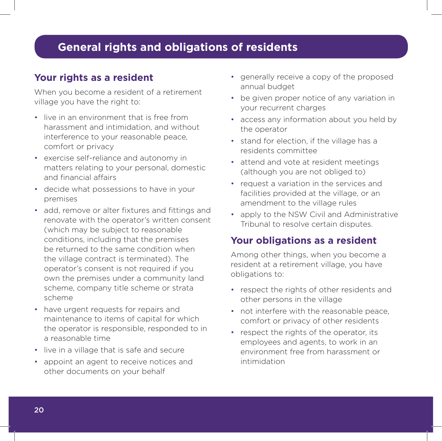# **General rights and obligations of residents**

#### **Your rights as a resident**

When you become a resident of a retirement village you have the right to:

- live in an environment that is free from harassment and intimidation, and without interference to your reasonable peace, comfort or privacy
- exercise self-reliance and autonomy in matters relating to your personal, domestic and financial affairs
- decide what possessions to have in your premises
- add, remove or alter fixtures and fittings and renovate with the operator's written consent (which may be subject to reasonable conditions, including that the premises be returned to the same condition when the village contract is terminated). The operator's consent is not required if you own the premises under a community land scheme, company title scheme or strata scheme
- have urgent requests for repairs and maintenance to items of capital for which the operator is responsible, responded to in a reasonable time
- live in a village that is safe and secure
- appoint an agent to receive notices and other documents on your behalf
- generally receive a copy of the proposed annual budget
- be given proper notice of any variation in your recurrent charges
- access any information about you held by the operator
- stand for election, if the village has a residents committee
- attend and vote at resident meetings (although you are not obliged to)
- request a variation in the services and facilities provided at the village, or an amendment to the village rules
- apply to the NSW Civil and Administrative Tribunal to resolve certain disputes.

#### **Your obligations as a resident**

Among other things, when you become a resident at a retirement village, you have obligations to:

- respect the rights of other residents and other persons in the village
- not interfere with the reasonable peace, comfort or privacy of other residents
- respect the rights of the operator, its employees and agents, to work in an environment free from harassment or intimidation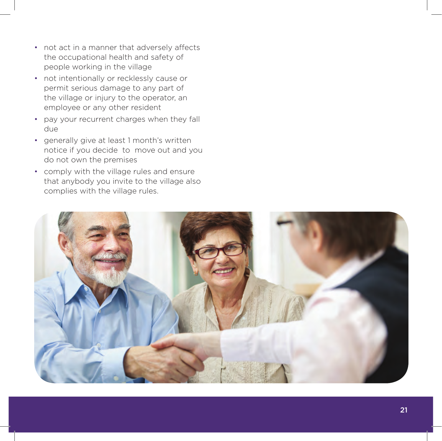- not act in a manner that adversely affects the occupational health and safety of people working in the village
- not intentionally or recklessly cause or permit serious damage to any part of the village or injury to the operator, an employee or any other resident
- pay your recurrent charges when they fall due
- generally give at least 1 month's written notice if you decide to move out and you do not own the premises
- comply with the village rules and ensure that anybody you invite to the village also complies with the village rules.

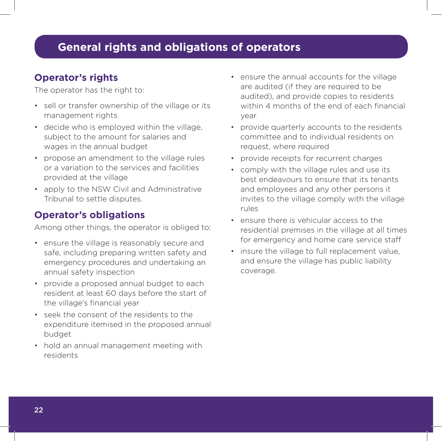#### **Operator's rights**

The operator has the right to:

- sell or transfer ownership of the village or its management rights
- decide who is employed within the village, subject to the amount for salaries and wages in the annual budget
- propose an amendment to the village rules or a variation to the services and facilities provided at the village
- apply to the NSW Civil and Administrative Tribunal to settle disputes.

### **Operator's obligations**

Among other things, the operator is obliged to:

- ensure the village is reasonably secure and safe, including preparing written safety and emergency procedures and undertaking an annual safety inspection
- provide a proposed annual budget to each resident at least 60 days before the start of the village's financial year
- seek the consent of the residents to the expenditure itemised in the proposed annual budget
- hold an annual management meeting with residents
- ensure the annual accounts for the village are audited (if they are required to be audited), and provide copies to residents within 4 months of the end of each financial year
- provide quarterly accounts to the residents committee and to individual residents on request, where required
- provide receipts for recurrent charges
- comply with the village rules and use its best endeavours to ensure that its tenants and employees and any other persons it invites to the village comply with the village rules
- ensure there is vehicular access to the residential premises in the village at all times for emergency and home care service staff
- insure the village to full replacement value, and ensure the village has public liability coverage.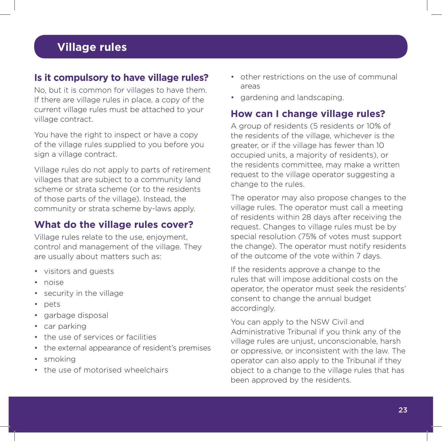# **Village rules**

#### **Is it compulsory to have village rules?**

No, but it is common for villages to have them. If there are village rules in place, a copy of the current village rules must be attached to your village contract.

You have the right to inspect or have a copy of the village rules supplied to you before you sign a village contract.

Village rules do not apply to parts of retirement villages that are subject to a community land scheme or strata scheme (or to the residents of those parts of the village). Instead, the community or strata scheme by-laws apply.

#### **What do the village rules cover?**

Village rules relate to the use, enjoyment, control and management of the village. They are usually about matters such as:

- visitors and guests
- noise
- security in the village
- pets
- garbage disposal
- car parking
- the use of services or facilities
- the external appearance of resident's premises
- smoking
- the use of motorised wheelchairs
- other restrictions on the use of communal areas
- gardening and landscaping.

#### **How can I change village rules?**

A group of residents (5 residents or 10% of the residents of the village, whichever is the greater, or if the village has fewer than 10 occupied units, a majority of residents), or the residents committee, may make a written request to the village operator suggesting a change to the rules.

The operator may also propose changes to the village rules. The operator must call a meeting of residents within 28 days after receiving the request. Changes to village rules must be by special resolution (75% of votes must support the change). The operator must notify residents of the outcome of the vote within 7 days.

If the residents approve a change to the rules that will impose additional costs on the operator, the operator must seek the residents' consent to change the annual budget accordingly.

You can apply to the NSW Civil and Administrative Tribunal if you think any of the village rules are unjust, unconscionable, harsh or oppressive, or inconsistent with the law. The operator can also apply to the Tribunal if they object to a change to the village rules that has been approved by the residents.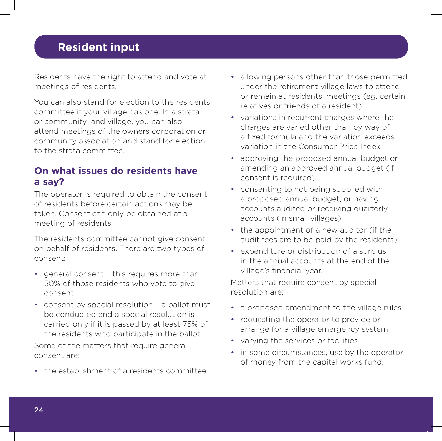# **Resident input**

Residents have the right to attend and vote at meetings of residents.

You can also stand for election to the residents committee if your village has one. In a strata or community land village, you can also attend meetings of the owners corporation or community association and stand for election to the strata committee.

#### **On what issues do residents have a say?**

The operator is required to obtain the consent of residents before certain actions may be taken. Consent can only be obtained at a meeting of residents.

The residents committee cannot give consent on behalf of residents. There are two types of consent:

- general consent this requires more than 50% of those residents who vote to give consent
- consent by special resolution a ballot must be conducted and a special resolution is carried only if it is passed by at least 75% of the residents who participate in the ballot.

Some of the matters that require general consent are:

• the establishment of a residents committee

- allowing persons other than those permitted under the retirement village laws to attend or remain at residents' meetings (eg. certain relatives or friends of a resident)
- variations in recurrent charges where the charges are varied other than by way of a fixed formula and the variation exceeds variation in the Consumer Price Index
- approving the proposed annual budget or amending an approved annual budget (if consent is required)
- consenting to not being supplied with a proposed annual budget, or having accounts audited or receiving quarterly accounts (in small villages)
- the appointment of a new auditor (if the audit fees are to be paid by the residents)
- expenditure or distribution of a surplus in the annual accounts at the end of the village's financial year.

Matters that require consent by special resolution are:

- a proposed amendment to the village rules
- requesting the operator to provide or arrange for a village emergency system
- varying the services or facilities
- in some circumstances, use by the operator of money from the capital works fund.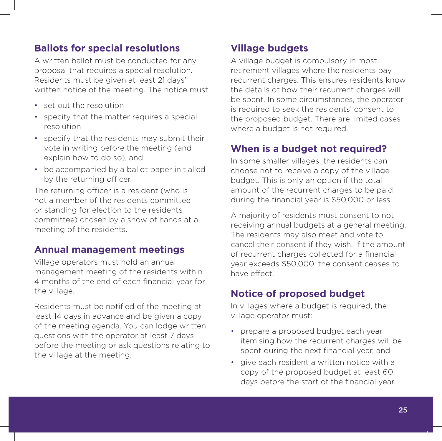#### **Ballots for special resolutions**

A written ballot must be conducted for any proposal that requires a special resolution. Residents must be given at least 21 days' written notice of the meeting. The notice must:

- set out the resolution
- specify that the matter requires a special resolution
- specify that the residents may submit their vote in writing before the meeting (and explain how to do so), and
- be accompanied by a ballot paper initialled by the returning officer.

The returning officer is a resident (who is not a member of the residents committee or standing for election to the residents committee) chosen by a show of hands at a meeting of the residents.

#### **Annual management meetings**

Village operators must hold an annual management meeting of the residents within 4 months of the end of each financial year for the village.

Residents must be notified of the meeting at least 14 days in advance and be given a copy of the meeting agenda. You can lodge written questions with the operator at least 7 days before the meeting or ask questions relating to the village at the meeting.

#### **Village budgets**

A village budget is compulsory in most retirement villages where the residents pay recurrent charges. This ensures residents know the details of how their recurrent charges will be spent. In some circumstances, the operator is required to seek the residents' consent to the proposed budget. There are limited cases where a budget is not required.

#### **When is a budget not required?**

In some smaller villages, the residents can choose not to receive a copy of the village budget. This is only an option if the total amount of the recurrent charges to be paid during the financial year is \$50,000 or less.

A majority of residents must consent to not receiving annual budgets at a general meeting. The residents may also meet and vote to cancel their consent if they wish. If the amount of recurrent charges collected for a financial year exceeds \$50,000, the consent ceases to have effect.

#### **Notice of proposed budget**

In villages where a budget is required, the village operator must:

- prepare a proposed budget each year itemising how the recurrent charges will be spent during the next financial year, and
- give each resident a written notice with a copy of the proposed budget at least 60 days before the start of the financial year.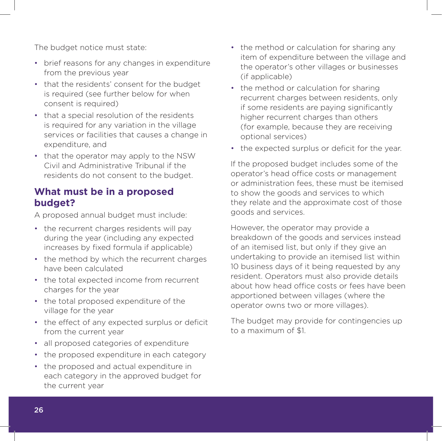The budget notice must state:

- brief reasons for any changes in expenditure from the previous year
- that the residents' consent for the budget is required (see further below for when consent is required)
- that a special resolution of the residents is required for any variation in the village services or facilities that causes a change in expenditure, and
- that the operator may apply to the NSW Civil and Administrative Tribunal if the residents do not consent to the budget.

#### **What must be in a proposed budget?**

A proposed annual budget must include:

- the recurrent charges residents will pay during the year (including any expected increases by fixed formula if applicable)
- the method by which the recurrent charges have been calculated
- the total expected income from recurrent charges for the year
- the total proposed expenditure of the village for the year
- the effect of any expected surplus or deficit from the current year
- all proposed categories of expenditure
- the proposed expenditure in each category
- the proposed and actual expenditure in each category in the approved budget for the current year
- the method or calculation for sharing any item of expenditure between the village and the operator's other villages or businesses (if applicable)
- the method or calculation for sharing recurrent charges between residents, only if some residents are paying significantly higher recurrent charges than others (for example, because they are receiving optional services)
- the expected surplus or deficit for the year.

If the proposed budget includes some of the operator's head office costs or management or administration fees, these must be itemised to show the goods and services to which they relate and the approximate cost of those goods and services.

However, the operator may provide a breakdown of the goods and services instead of an itemised list, but only if they give an undertaking to provide an itemised list within 10 business days of it being requested by any resident. Operators must also provide details about how head office costs or fees have been apportioned between villages (where the operator owns two or more villages).

The budget may provide for contingencies up to a maximum of \$1.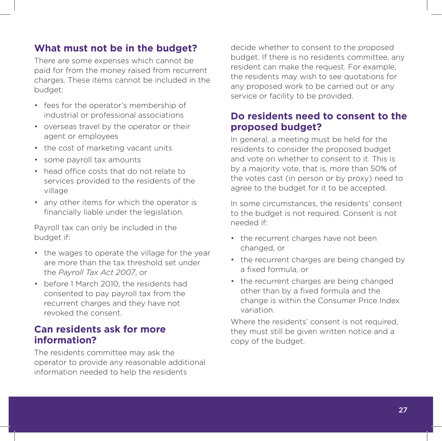#### **What must not be in the budget?**

There are some expenses which cannot be paid for from the money raised from recurrent charges. These items cannot be included in the budget:

- fees for the operator's membership of industrial or professional associations
- overseas travel by the operator or their agent or employees
- the cost of marketing vacant units
- some payroll tax amounts
- head office costs that do not relate to services provided to the residents of the village
- any other items for which the operator is financially liable under the legislation.

Payroll tax can only be included in the budget if:

- the wages to operate the village for the year are more than the tax threshold set under the *Payroll Tax Act 2007*, or
- before 1 March 2010, the residents had consented to pay payroll tax from the recurrent charges and they have not revoked the consent.

#### **Can residents ask for more information?**

The residents committee may ask the operator to provide any reasonable additional information needed to help the residents

decide whether to consent to the proposed budget. If there is no residents committee, any resident can make the request. For example, the residents may wish to see quotations for any proposed work to be carried out or any service or facility to be provided.

#### **Do residents need to consent to the proposed budget?**

In general, a meeting must be held for the residents to consider the proposed budget and vote on whether to consent to it. This is by a majority vote, that is, more than 50% of the votes cast (in person or by proxy) need to agree to the budget for it to be accepted.

In some circumstances, the residents' consent to the budget is not required. Consent is not needed if:

- the recurrent charges have not been changed, or
- the recurrent charges are being changed by a fixed formula, or
- the recurrent charges are being changed other than by a fixed formula and the change is within the Consumer Price Index variation.

Where the residents' consent is not required, they must still be given written notice and a copy of the budget.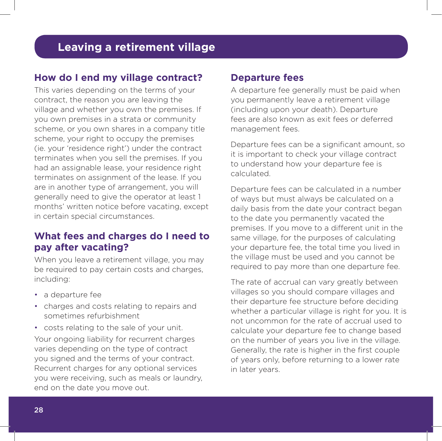#### **How do I end my village contract?**

This varies depending on the terms of your contract, the reason you are leaving the village and whether you own the premises. If you own premises in a strata or community scheme, or you own shares in a company title scheme, your right to occupy the premises (ie. your 'residence right') under the contract terminates when you sell the premises. If you had an assignable lease, your residence right terminates on assignment of the lease. If you are in another type of arrangement, you will generally need to give the operator at least 1 months' written notice before vacating, except in certain special circumstances.

#### **What fees and charges do I need to pay after vacating?**

When you leave a retirement village, you may be required to pay certain costs and charges, including:

- a departure fee
- charges and costs relating to repairs and sometimes refurbishment
- costs relating to the sale of your unit. Your ongoing liability for recurrent charges varies depending on the type of contract you signed and the terms of your contract. Recurrent charges for any optional services you were receiving, such as meals or laundry, end on the date you move out.

#### **Departure fees**

A departure fee generally must be paid when you permanently leave a retirement village (including upon your death). Departure fees are also known as exit fees or deferred management fees.

Departure fees can be a significant amount, so it is important to check your village contract to understand how your departure fee is calculated.

Departure fees can be calculated in a number of ways but must always be calculated on a daily basis from the date your contract began to the date you permanently vacated the premises. If you move to a different unit in the same village, for the purposes of calculating your departure fee, the total time you lived in the village must be used and you cannot be required to pay more than one departure fee.

The rate of accrual can vary greatly between villages so you should compare villages and their departure fee structure before deciding whether a particular village is right for you. It is not uncommon for the rate of accrual used to calculate your departure fee to change based on the number of years you live in the village. Generally, the rate is higher in the first couple of years only, before returning to a lower rate in later years.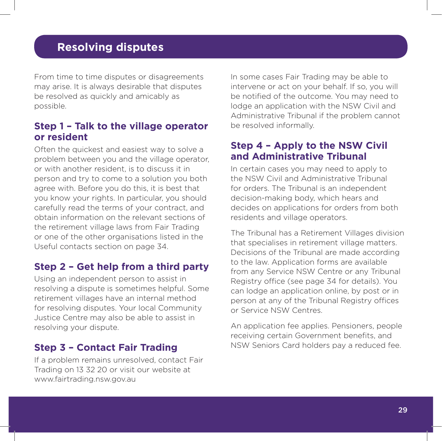From time to time disputes or disagreements may arise. It is always desirable that disputes be resolved as quickly and amicably as possible.

#### **Step 1 – Talk to the village operator or resident**

Often the quickest and easiest way to solve a problem between you and the village operator, or with another resident, is to discuss it in person and try to come to a solution you both agree with. Before you do this, it is best that you know your rights. In particular, you should carefully read the terms of your contract, and obtain information on the relevant sections of the retirement village laws from Fair Trading or one of the other organisations listed in the Useful contacts section on page 34.

#### **Step 2 – Get help from a third party**

Using an independent person to assist in resolving a dispute is sometimes helpful. Some retirement villages have an internal method for resolving disputes. Your local Community Justice Centre may also be able to assist in resolving your dispute.

#### **Step 3 – Contact Fair Trading**

If a problem remains unresolved, contact Fair Trading on 13 32 20 or visit our website at www.fairtrading.nsw.gov.au

In some cases Fair Trading may be able to intervene or act on your behalf. If so, you will be notified of the outcome. You may need to lodge an application with the NSW Civil and Administrative Tribunal if the problem cannot be resolved informally.

#### **Step 4 – Apply to the NSW Civil and Administrative Tribunal**

In certain cases you may need to apply to the NSW Civil and Administrative Tribunal for orders. The Tribunal is an independent decision-making body, which hears and decides on applications for orders from both residents and village operators.

The Tribunal has a Retirement Villages division that specialises in retirement village matters. Decisions of the Tribunal are made according to the law. Application forms are available from any Service NSW Centre or any Tribunal Registry office (see page 34 for details). You can lodge an application online, by post or in person at any of the Tribunal Registry offices or Service NSW Centres.

An application fee applies. Pensioners, people receiving certain Government benefits, and NSW Seniors Card holders pay a reduced fee.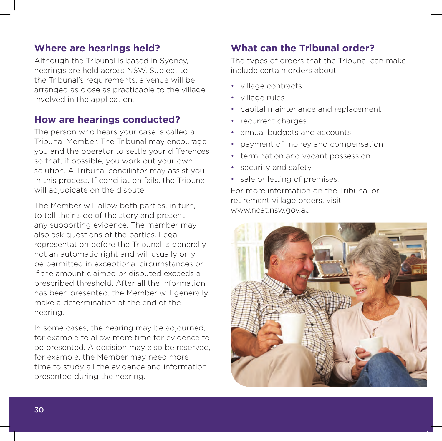#### **Where are hearings held?**

Although the Tribunal is based in Sydney, hearings are held across NSW. Subject to the Tribunal's requirements, a venue will be arranged as close as practicable to the village involved in the application.

#### **How are hearings conducted?**

The person who hears your case is called a Tribunal Member. The Tribunal may encourage you and the operator to settle your differences so that, if possible, you work out your own solution. A Tribunal conciliator may assist you in this process. If conciliation fails, the Tribunal will adjudicate on the dispute.

The Member will allow both parties, in turn, to tell their side of the story and present any supporting evidence. The member may also ask questions of the parties. Legal representation before the Tribunal is generally not an automatic right and will usually only be permitted in exceptional circumstances or if the amount claimed or disputed exceeds a prescribed threshold. After all the information has been presented, the Member will generally make a determination at the end of the hearing.

In some cases, the hearing may be adjourned, for example to allow more time for evidence to be presented. A decision may also be reserved, for example, the Member may need more time to study all the evidence and information presented during the hearing.

#### **What can the Tribunal order?**

The types of orders that the Tribunal can make include certain orders about:

- village contracts
- village rules
- capital maintenance and replacement
- recurrent charges
- annual budgets and accounts
- payment of money and compensation
- termination and vacant possession
- security and safety
- sale or letting of premises.

For more information on the Tribunal or retirement village orders, visit www.ncat.nsw.gov.au

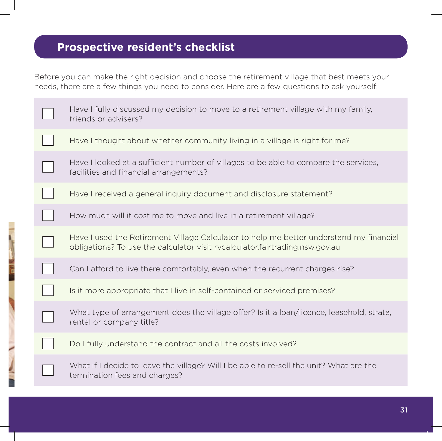# **Prospective resident's checklist**

Before you can make the right decision and choose the retirement village that best meets your needs, there are a few things you need to consider. Here are a few questions to ask yourself:

| Have I fully discussed my decision to move to a retirement village with my family,<br>friends or advisers?                                                              |
|-------------------------------------------------------------------------------------------------------------------------------------------------------------------------|
| Have I thought about whether community living in a village is right for me?                                                                                             |
| Have I looked at a sufficient number of villages to be able to compare the services,<br>facilities and financial arrangements?                                          |
| Have I received a general inquiry document and disclosure statement?                                                                                                    |
| How much will it cost me to move and live in a retirement village?                                                                                                      |
| Have I used the Retirement Village Calculator to help me better understand my financial<br>obligations? To use the calculator visit rycalculator.fairtrading.nsw.gov.au |
| Can I afford to live there comfortably, even when the recurrent charges rise?                                                                                           |
| Is it more appropriate that I live in self-contained or serviced premises?                                                                                              |
| What type of arrangement does the village offer? Is it a loan/licence, leasehold, strata,<br>rental or company title?                                                   |
| Do I fully understand the contract and all the costs involved?                                                                                                          |
| What if I decide to leave the village? Will I be able to re-sell the unit? What are the<br>termination fees and charges?                                                |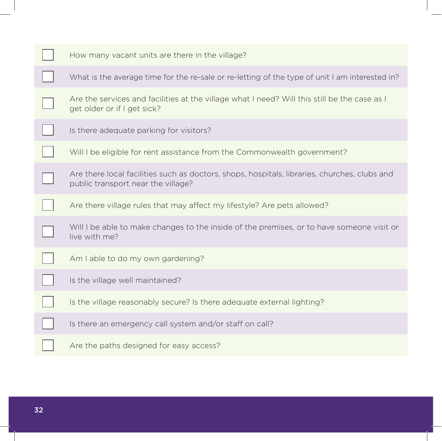| How many vacant units are there in the village?                                                                                    |
|------------------------------------------------------------------------------------------------------------------------------------|
| What is the average time for the re-sale or re-letting of the type of unit I am interested in?                                     |
| Are the services and facilities at the village what I need? Will this still be the case as I<br>get older or if I get sick?        |
| Is there adequate parking for visitors?                                                                                            |
| Will I be eligible for rent assistance from the Commonwealth government?                                                           |
| Are there local facilities such as doctors, shops, hospitals, libraries, churches, clubs and<br>public transport near the village? |
| Are there village rules that may affect my lifestyle? Are pets allowed?                                                            |
| Will I be able to make changes to the inside of the premises, or to have someone visit or<br>live with me?                         |
| Am I able to do my own gardening?                                                                                                  |
| Is the village well maintained?                                                                                                    |
| Is the village reasonably secure? Is there adequate external lighting?                                                             |
| Is there an emergency call system and/or staff on call?                                                                            |
| Are the paths designed for easy access?                                                                                            |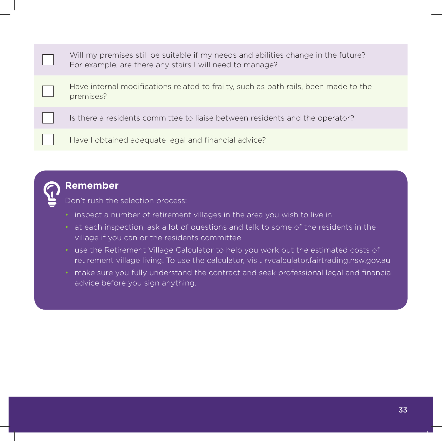| Will my premises still be suitable if my needs and abilities change in the future?<br>For example, are there any stairs I will need to manage? |
|------------------------------------------------------------------------------------------------------------------------------------------------|
| Have internal modifications related to frailty, such as bath rails, been made to the<br>premises?                                              |
| Is there a residents committee to liaise between residents and the operator?                                                                   |
| Have I obtained adequate legal and financial advice?                                                                                           |



### **Remember**

Don't rush the selection process:

- inspect a number of retirement villages in the area you wish to live in
- at each inspection, ask a lot of questions and talk to some of the residents in the village if you can or the residents committee
- use the Retirement Village Calculator to help you work out the estimated costs of retirement village living. To use the calculator, visit rvcalculator.fairtrading.nsw.gov.au
- make sure you fully understand the contract and seek professional legal and financial advice before you sign anything.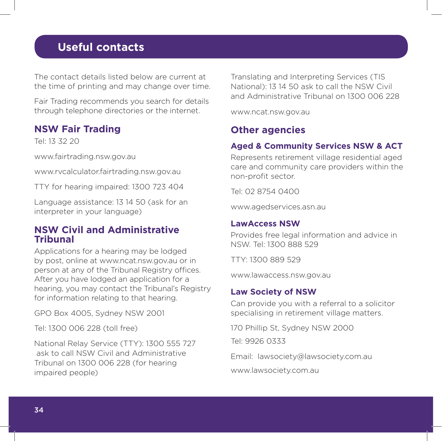# **Useful contacts**

The contact details listed below are current at the time of printing and may change over time.

Fair Trading recommends you search for details through telephone directories or the internet.

#### **NSW Fair Trading**

Tel: 13 32 20

www.fairtrading.nsw.gov.au

www.rvcalculator.fairtrading.nsw.gov.au

TTY for hearing impaired: 1300 723 404

Language assistance: 13 14 50 (ask for an interpreter in your language)

#### **NSW Civil and Administrative Tribunal**

Applications for a hearing may be lodged by post, online at www.ncat.nsw.gov.au or in person at any of the Tribunal Registry offices. After you have lodged an application for a hearing, you may contact the Tribunal's Registry for information relating to that hearing.

GPO Box 4005, Sydney NSW 2001

Tel: 1300 006 228 (toll free)

National Relay Service (TTY): 1300 555 727 ask to call NSW Civil and Administrative Tribunal on 1300 006 228 (for hearing impaired people)

Translating and Interpreting Services (TIS National): 13 14 50 ask to call the NSW Civil and Administrative Tribunal on 1300 006 228

www.ncat.nsw.gov.au

#### **Other agencies**

#### **Aged & Community Services NSW & ACT**

Represents retirement village residential aged care and community care providers within the non-profit sector.

Tel: 02 8754 0400

www.agedservices.asn.au

#### **LawAccess NSW**

Provides free legal information and advice in NSW. Tel: 1300 888 529

TTY: 1300 889 529

www.lawaccess.nsw.gov.au

#### **Law Society of NSW**

Can provide you with a referral to a solicitor specialising in retirement village matters.

170 Phillip St, Sydney NSW 2000

Tel: 9926 0333

Email: lawsociety@lawsociety.com.au

www.lawsociety.com.au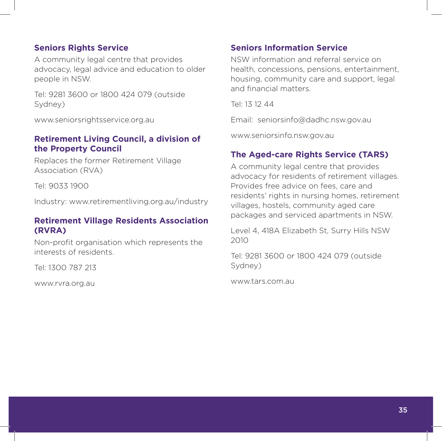#### **Seniors Rights Service**

A community legal centre that provides advocacy, legal advice and education to older people in NSW.

Tel: 9281 3600 or 1800 424 079 (outside Sydney)

www.seniorsrightsservice.org.au

#### **Retirement Living Council, a division of the Property Council**

Replaces the former Retirement Village Association (RVA)

Tel: 9033 1900

Industry: www.retirementliving.org.au/industry

#### **Retirement Village Residents Association (RVRA)**

Non-profit organisation which represents the interests of residents.

Tel: 1300 787 213

www.rvra.org.au

#### **Seniors Information Service**

NSW information and referral service on health, concessions, pensions, entertainment, housing, community care and support, legal and financial matters.

Tel: 13 12 44

Email: seniorsinfo@dadhc.nsw.gov.au

www.seniorsinfo.nsw.gov.au

#### **The Aged-care Rights Service (TARS)**

A community legal centre that provides advocacy for residents of retirement villages. Provides free advice on fees, care and residents' rights in nursing homes, retirement villages, hostels, community aged care packages and serviced apartments in NSW.

Level 4, 418A Elizabeth St, Surry Hills NSW 2010

Tel: 9281 3600 or 1800 424 079 (outside Sydney)

www.tars.com.au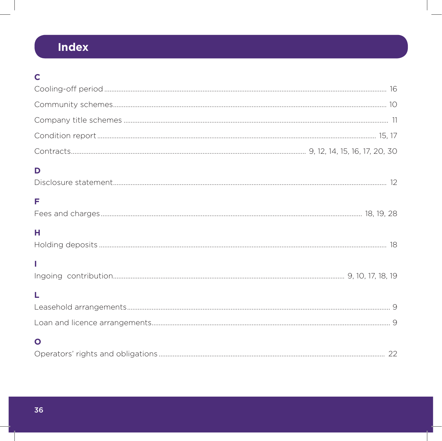# Index

# $\mathbf c$

| D            |  |
|--------------|--|
| F            |  |
| н            |  |
|              |  |
| L            |  |
|              |  |
| $\mathbf{O}$ |  |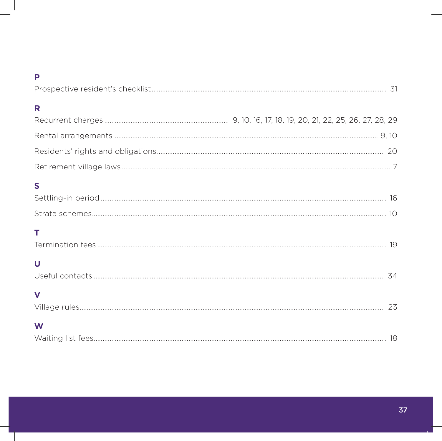#### P

| R           |  |
|-------------|--|
|             |  |
|             |  |
|             |  |
| $\mathbf S$ |  |
| т           |  |
| U           |  |
| $\mathbf v$ |  |
| W           |  |